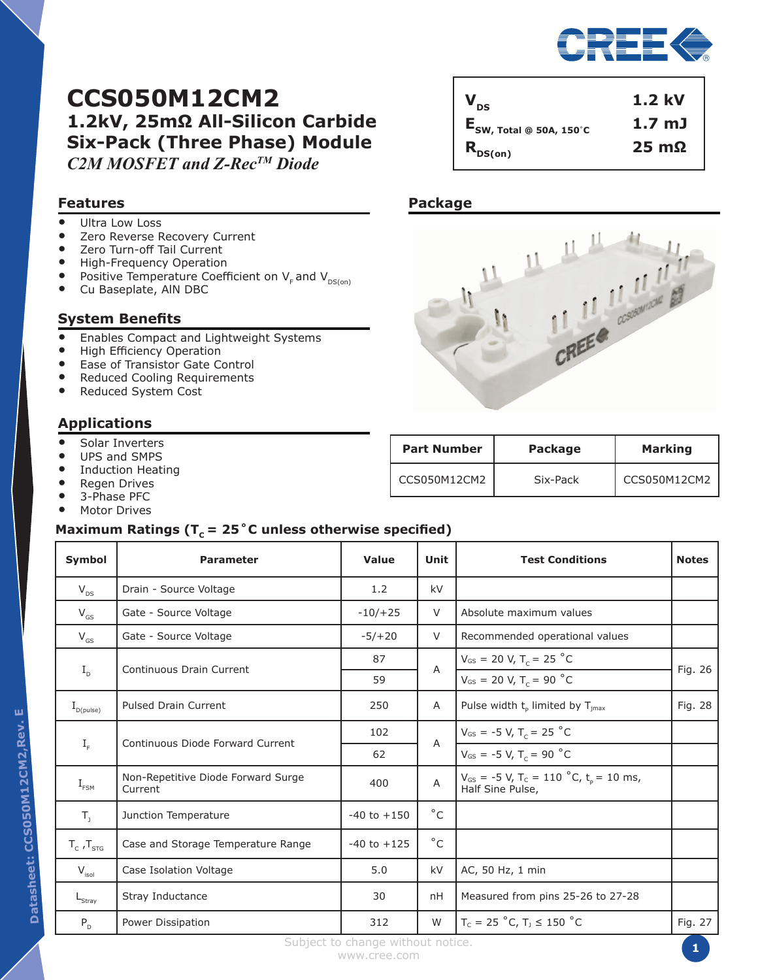

# **CCS050M12CM2 1.2kV, 25mΩ All-Silicon Carbide Six-Pack (Three Phase) Module** *C2M MOSFET and Z-RecTM Diode*

## **Features**

- Ultra Low Loss<br>• Zero Reverse R
- Zero Reverse Recovery Current
- Zero Turn-off Tail Current<br>• High-Frequency Operation
- High-Frequency Operation<br>• Positive Temperature Coeff
- Positive Temperature Coefficient on  $V_F$  and  $V_{DS(0n)}$ <br>• Cu Baseplate, AIN DBC
- Cu Baseplate, AlN DBC

## **System Benefits**

- Enables Compact and Lightweight Systems
- High Efficiency Operation
- Ease of Transistor Gate Control
- Reduced Cooling Requirements
- Reduced System Cost

## **Applications**

- Solar Inverters
- UPS and SMPS<br>• Induction Heat
- Induction Heating<br>• Pegen Drives
- **Regen Drives**
- 3-Phase PFC<br>• Motor Drives
- **Motor Drives**

## **Maximum Ratings (TC = 25˚C unless otherwise specified)**

| <b>Symbol</b>                    | <b>Parameter</b>                              | Value           | Unit                      | <b>Test Conditions</b>                                                                | <b>Notes</b> |
|----------------------------------|-----------------------------------------------|-----------------|---------------------------|---------------------------------------------------------------------------------------|--------------|
| $V_{DS}$                         | Drain - Source Voltage                        | 1.2             | kV                        |                                                                                       |              |
| $V_{GS}$                         | Gate - Source Voltage                         | $-10/+25$       | $\vee$                    | Absolute maximum values                                                               |              |
| $V_{GS}$                         | Gate - Source Voltage                         | $-5/ + 20$      | $\vee$                    | Recommended operational values                                                        |              |
|                                  | Continuous Drain Current                      | 87              | $\overline{A}$            | $V_{GS}$ = 20 V, T <sub>c</sub> = 25 °C                                               | Fig. 26      |
| $I_{\rm D}$                      |                                               | 59              |                           | $V_{GS}$ = 20 V, T <sub>c</sub> = 90 °C                                               |              |
| $\mathrm{I}_{\mathrm{D(pulse)}}$ | <b>Pulsed Drain Current</b>                   | 250             | A                         | Pulse width t <sub>p</sub> limited by T <sub>jmax</sub>                               | Fig. 28      |
|                                  | <b>Continuous Diode Forward Current</b>       | 102             | $\overline{A}$            | $V_{GS}$ = -5 V, T <sub>c</sub> = 25 °C                                               |              |
| $I_{\rm F}$                      |                                               | 62              |                           | $V_{GS}$ = -5 V, T <sub>c</sub> = 90 °C                                               |              |
| $I_{\text{FSM}}$                 | Non-Repetitive Diode Forward Surge<br>Current | 400             | $\boldsymbol{\mathsf{A}}$ | $V_{GS}$ = -5 V, T <sub>c</sub> = 110 °C, t <sub>p</sub> = 10 ms,<br>Half Sine Pulse, |              |
| $T_{1}$                          | Junction Temperature                          | $-40$ to $+150$ | $^{\circ}$ C              |                                                                                       |              |
| $T_c$ , $T_{src}$                | Case and Storage Temperature Range            | $-40$ to $+125$ | $^{\circ}$ C              |                                                                                       |              |
| $V_{\text{isol}}$                | Case Isolation Voltage                        | 5.0             | kV                        | AC, 50 Hz, 1 min                                                                      |              |
| $L_{\text{Stray}}$               | Stray Inductance                              | 30              | nH                        | Measured from pins 25-26 to 27-28                                                     |              |
| $P_{D}$                          | Power Dissipation                             | 312             | W                         | $T_c = 25 °C, T_1 \le 150 °C$                                                         | Fig. 27      |

## **Package**



 $V_{DS}$  1.2 kV

**ESW, Total @ 50A, 150**˚**<sup>C</sup> 1.7 mJ**  $R_{DS(on)}$  **25 mΩ** 

| <b>Part Number</b> | Package  | <b>Marking</b> |  |
|--------------------|----------|----------------|--|
| CCS050M12CM2       | Six-Pack | CCS050M12CM2   |  |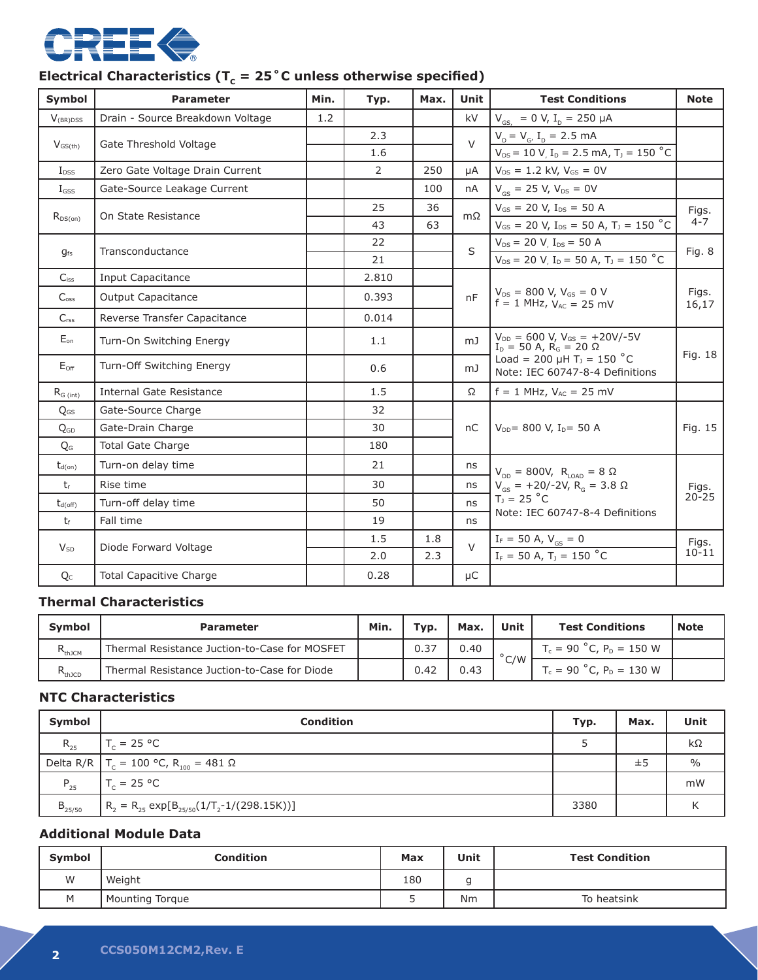

# Electrical Characteristics ( $T_c = 25$ °C unless otherwise specified)

| Symbol           | <b>Parameter</b>                 | Min. | Typ.           | Max. | <b>Unit</b>    | <b>Test Conditions</b>                                                        | <b>Note</b>        |
|------------------|----------------------------------|------|----------------|------|----------------|-------------------------------------------------------------------------------|--------------------|
| $V_{(BR)DSS}$    | Drain - Source Breakdown Voltage | 1.2  |                |      | kV             | $V_{\text{GS}}$ = 0 V, I <sub>D</sub> = 250 µA                                |                    |
|                  | Gate Threshold Voltage           |      | 2.3            |      | $\vee$         | $V_{D} = V_{G'} I_{D} = 2.5$ mA                                               |                    |
| $V_{GS(th)}$     |                                  |      | 1.6            |      |                | $V_{DS}$ = 10 V, I <sub>D</sub> = 2.5 mA, T <sub>J</sub> = 150 °C             |                    |
| $I_{DSS}$        | Zero Gate Voltage Drain Current  |      | $\overline{2}$ | 250  | uA             | $V_{DS} = 1.2$ kV, $V_{GS} = 0V$                                              |                    |
| $I_{GSS}$        | Gate-Source Leakage Current      |      |                | 100  | nA             | $V_{GS}$ = 25 V, $V_{DS}$ = 0V                                                |                    |
|                  | On State Resistance              |      | 25             | 36   | $m\Omega$      | $V_{GS}$ = 20 V, I <sub>DS</sub> = 50 A                                       | Figs.              |
| $R_{DS(on)}$     |                                  |      | 43             | 63   |                | $V_{GS}$ = 20 V, I <sub>DS</sub> = 50 A, T <sub>J</sub> = 150 °C              | $4 - 7$            |
|                  | Transconductance                 |      | 22             |      | S              | $V_{DS}$ = 20 V, $I_{DS}$ = 50 A                                              |                    |
| $g_{fs}$         |                                  |      | 21             |      |                | $V_{DS}$ = 20 V, I <sub>D</sub> = 50 A, T <sub>J</sub> = 150 °C               | Fig. 8             |
| $C_{iss}$        | <b>Input Capacitance</b>         |      | 2.810          |      |                |                                                                               |                    |
| C <sub>oss</sub> | <b>Output Capacitance</b>        |      | 0.393          |      | nF             | $V_{DS} = 800 V, V_{GS} = 0 V$<br>$f = 1 MHz, V_{AC} = 25 mV$                 | Figs.<br>16,17     |
| C <sub>rss</sub> | Reverse Transfer Capacitance     |      | 0.014          |      |                |                                                                               |                    |
| $E_{on}$         | Turn-On Switching Energy         |      | 1.1            |      | m <sub>J</sub> | $V_{DD} = 600 V, V_{GS} = +20V/-5V$<br>$I_D = 50$ A, $R_G = 20$ $\Omega$      | Fig. 18            |
| $E_{\text{Off}}$ | Turn-Off Switching Energy        |      | 0.6            |      | mJ             | Load = 200 $\mu$ H T <sub>J</sub> = 150 °C<br>Note: IEC 60747-8-4 Definitions |                    |
| $R_{G (int)}$    | Internal Gate Resistance         |      | 1.5            |      | Ω              | $f = 1$ MHz, $V_{AC} = 25$ mV                                                 |                    |
| $Q_{GS}$         | Gate-Source Charge               |      | 32             |      |                |                                                                               |                    |
| Q <sub>GD</sub>  | Gate-Drain Charge                |      | 30             |      | nC             | $V_{DD}$ = 800 V, I <sub>D</sub> = 50 A                                       | Fig. 15            |
| Q <sub>G</sub>   | <b>Total Gate Charge</b>         |      | 180            |      |                |                                                                               |                    |
| $t_{d(on)}$      | Turn-on delay time               |      | 21             |      | ns             | $V_{DD} = 800V, R_{LOAD} = 8 Ω$                                               |                    |
| $t_{r}$          | Rise time                        |      | 30             |      | ns             | $V_{GS}$ = +20/-2V, R <sub>G</sub> = 3.8 $\Omega$                             | Figs.<br>$20 - 25$ |
| $t_{d(off)}$     | Turn-off delay time              |      | 50             |      | ns             | $T_1 = 25 °C$                                                                 |                    |
| $t_f$            | Fall time                        |      | 19             |      | ns             | Note: IEC 60747-8-4 Definitions                                               |                    |
|                  |                                  |      | 1.5            | 1.8  | $\vee$         | $I_F = 50 A, V_{GS} = 0$                                                      | Figs.<br>$10 - 11$ |
| $V_{SD}$         | Diode Forward Voltage            |      | 2.0            | 2.3  |                | $I_F = 50 A, T_1 = 150 °C$                                                    |                    |
| $Q_{C}$          | <b>Total Capacitive Charge</b>   |      | 0.28           |      | цC             |                                                                               |                    |

## **Thermal Characteristics**

| <b>Symbol</b>                   | <b>Parameter</b>                              | Min. | Typ. | Max. | <b>Unit</b>    | <b>Test Conditions</b>        | <b>Note</b> |
|---------------------------------|-----------------------------------------------|------|------|------|----------------|-------------------------------|-------------|
| <b>L</b> thJCM                  | Thermal Resistance Juction-to-Case for MOSFET |      | 0.37 | 0.40 |                | $T_c = 90 °C$ , $P_D = 150 W$ |             |
| D<br><b>N</b> <sub>th</sub> jCD | Thermal Resistance Juction-to-Case for Diode  |      | 0.42 | 0.43 | $^{\circ}$ C/W | $T_c = 90 °C$ , $P_D = 130 W$ |             |

## **NTC Characteristics**

| Symbol      | <b>Condition</b>                                              | Typ. | Max. | Unit          |
|-------------|---------------------------------------------------------------|------|------|---------------|
| $R_{25}$    | $T_c = 25 °C$                                                 |      |      | $k\Omega$     |
|             | Delta R/R   T <sub>c</sub> = 100 °C, R <sub>100</sub> = 481 Ω |      | ±5   | $\frac{0}{0}$ |
| $P_{25}$    | $T_c = 25 °C$                                                 |      |      | mW            |
| $B_{25/50}$ | $R_2 = R_{25} \exp[B_{25/50}(1/T_2 - 1/(298.15K))]$           | 3380 |      |               |

## **Additional Module Data**

| Symbol | Condition       | Max | Unit            | <b>Test Condition</b> |
|--------|-----------------|-----|-----------------|-----------------------|
| W      | Weight          | 180 | $\sqrt{2}$<br>ч |                       |
| M      | Mounting Torque | ب   | Nm              | To heatsink           |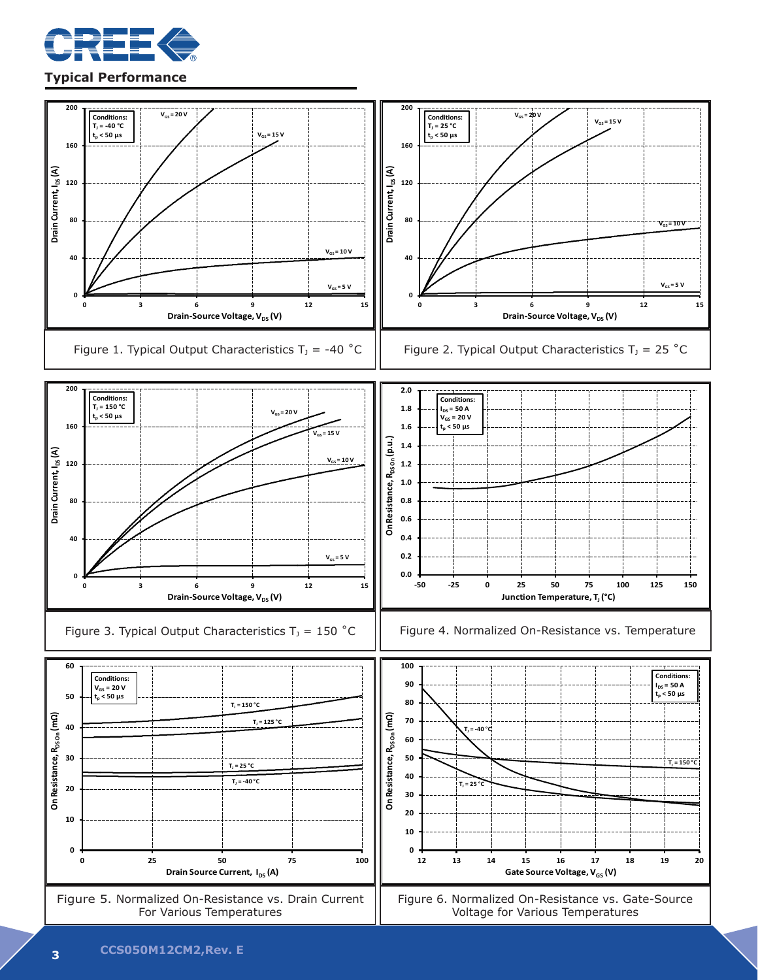

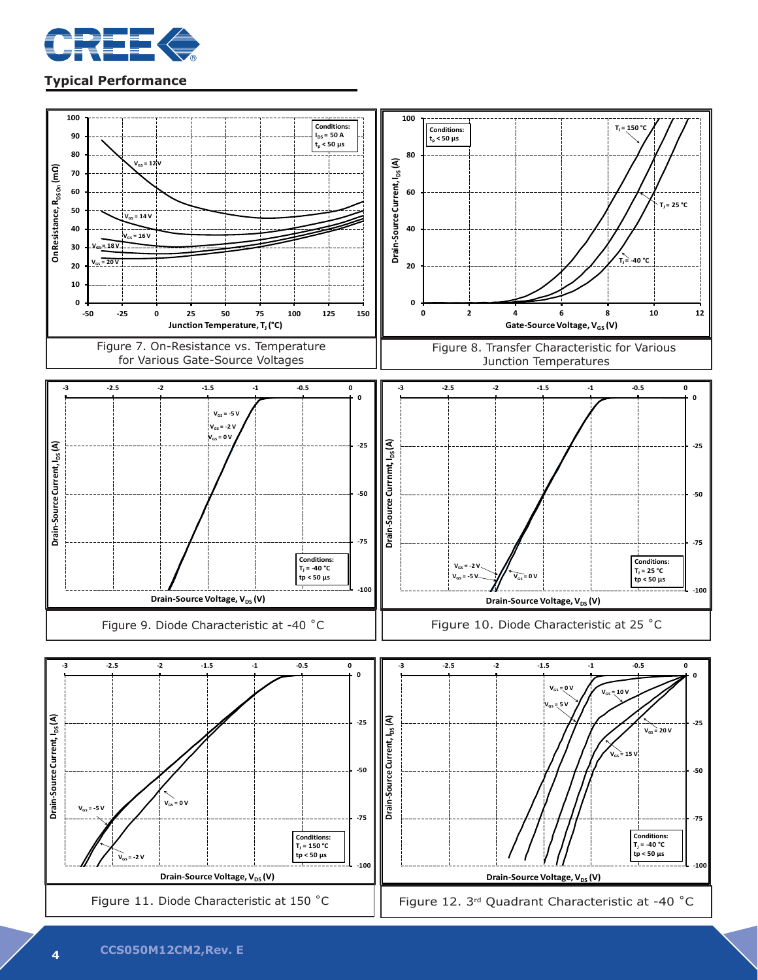

#### **Typical Performance**

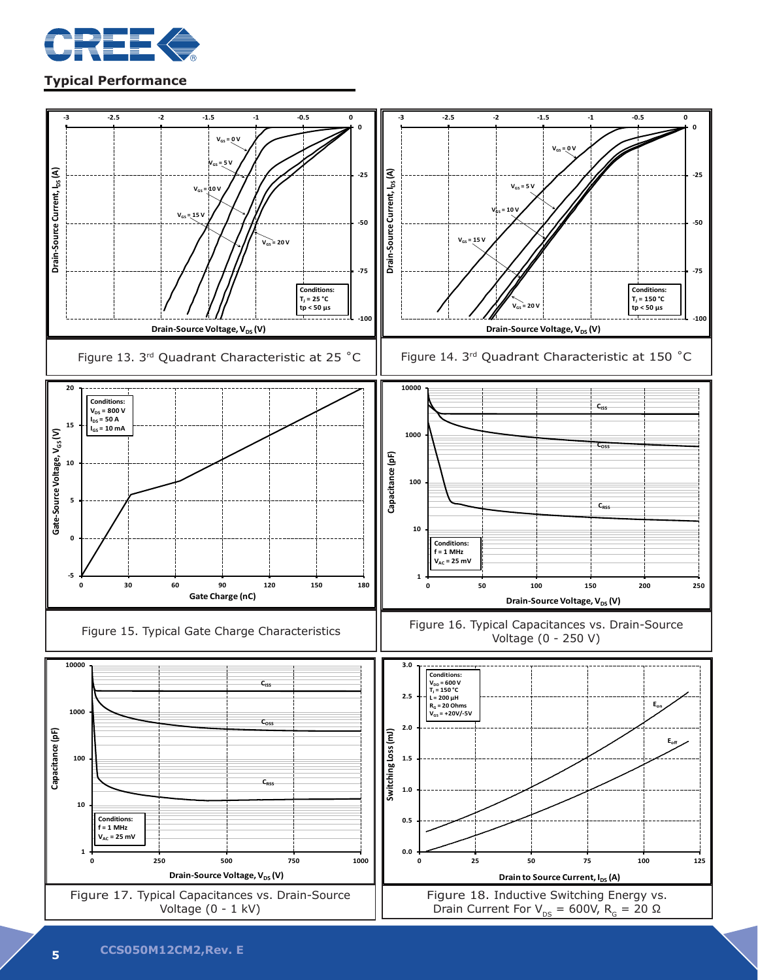

## **Typical Performance**

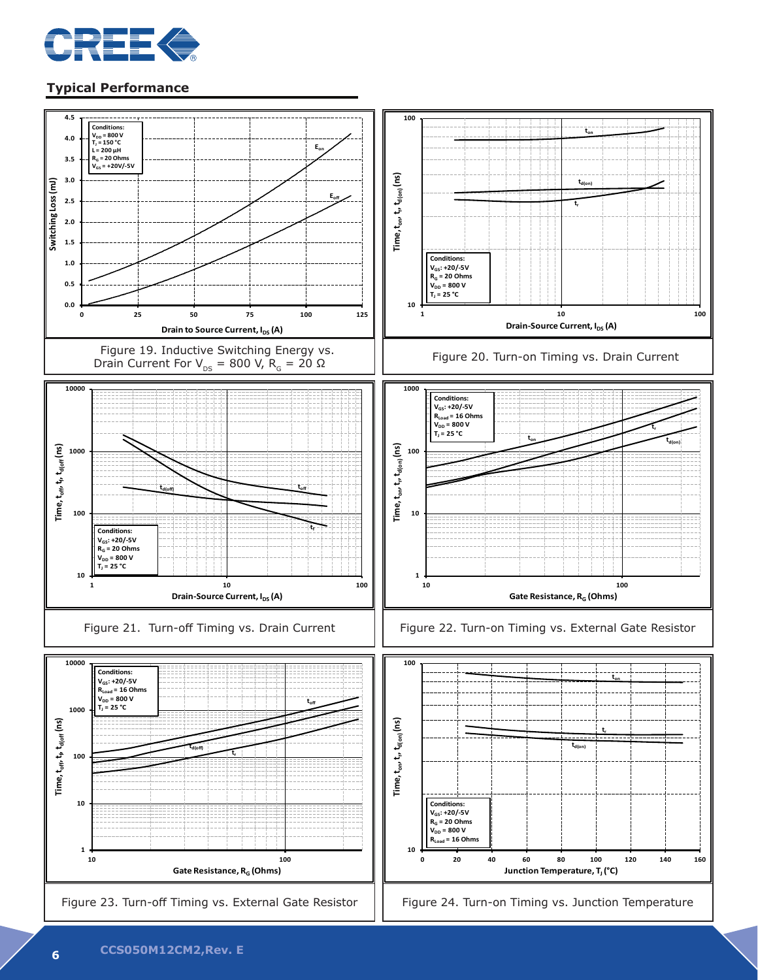

## **Typical Performance**

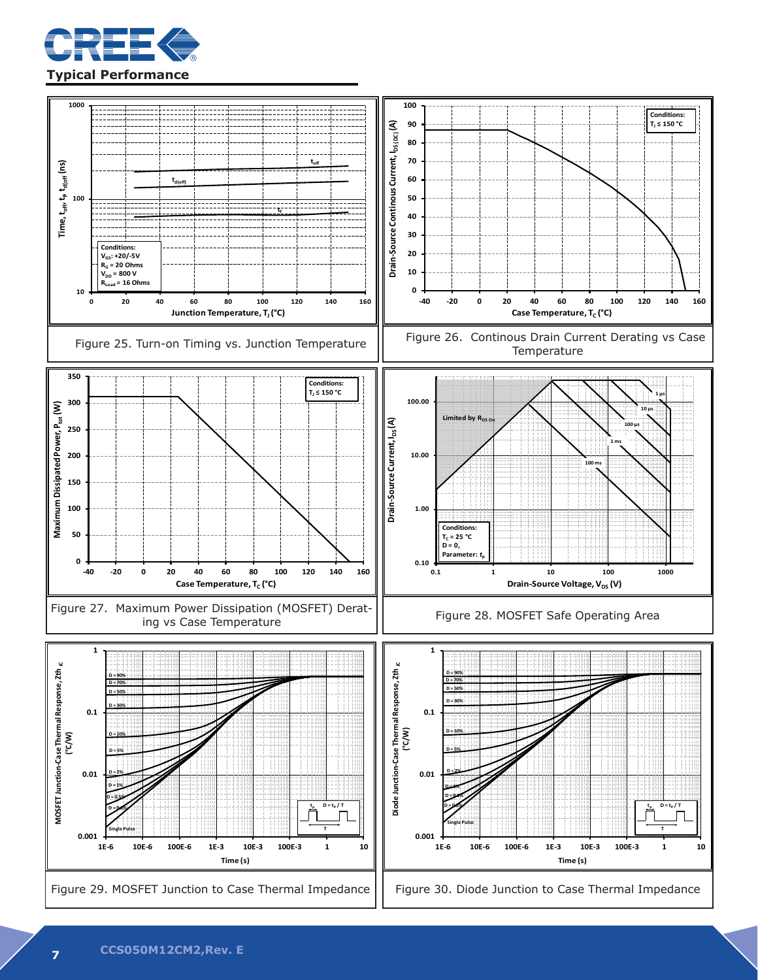

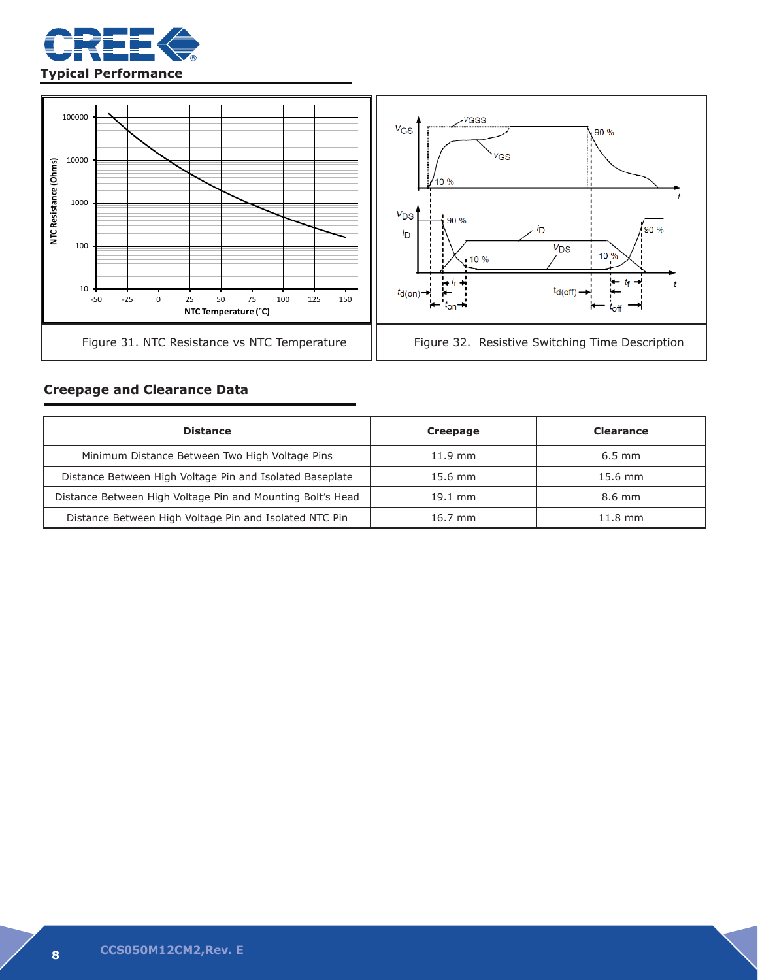



## **Creepage and Clearance Data**

| <b>Distance</b>                                            | Creepage          | <b>Clearance</b>  |
|------------------------------------------------------------|-------------------|-------------------|
| Minimum Distance Between Two High Voltage Pins             | $11.9$ mm         | $6.5$ mm          |
| Distance Between High Voltage Pin and Isolated Baseplate   | $15.6 \text{ mm}$ | $15.6 \text{ mm}$ |
| Distance Between High Voltage Pin and Mounting Bolt's Head | $19.1$ mm         | 8.6 mm            |
| Distance Between High Voltage Pin and Isolated NTC Pin     | $16.7$ mm         | $11.8$ mm         |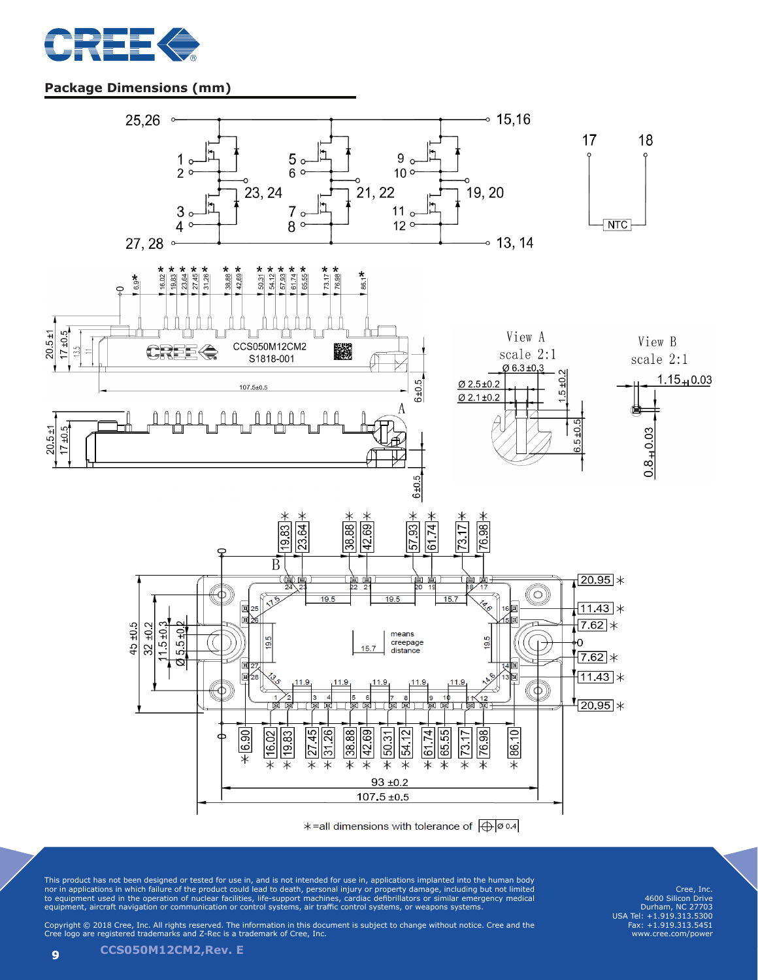

## **Package Dimensions (mm)**



This product has not been designed or tested for use in, and is not intended for use in, applications implanted into the human body<br>nor in applications in which failure of the product could lead to death, personal injury o equipment, aircraft navigation or communication or control systems, air traffic control systems, or weapons systems.

Cree, Inc. 4600 Silicon Drive Durham, NC 27703 USA Tel: +1.919.313.5300 Fax: +1.919.313.5451 www.cree.com/power

Copyright © 2018 Cree, Inc. All rights reserved. The information in this document is subject to change without notice. Cree and the Cree logo are registered trademarks and Z-Rec is a trademark of Cree, Inc.

**<sup>9</sup> CCS050M12CM2,Rev. E**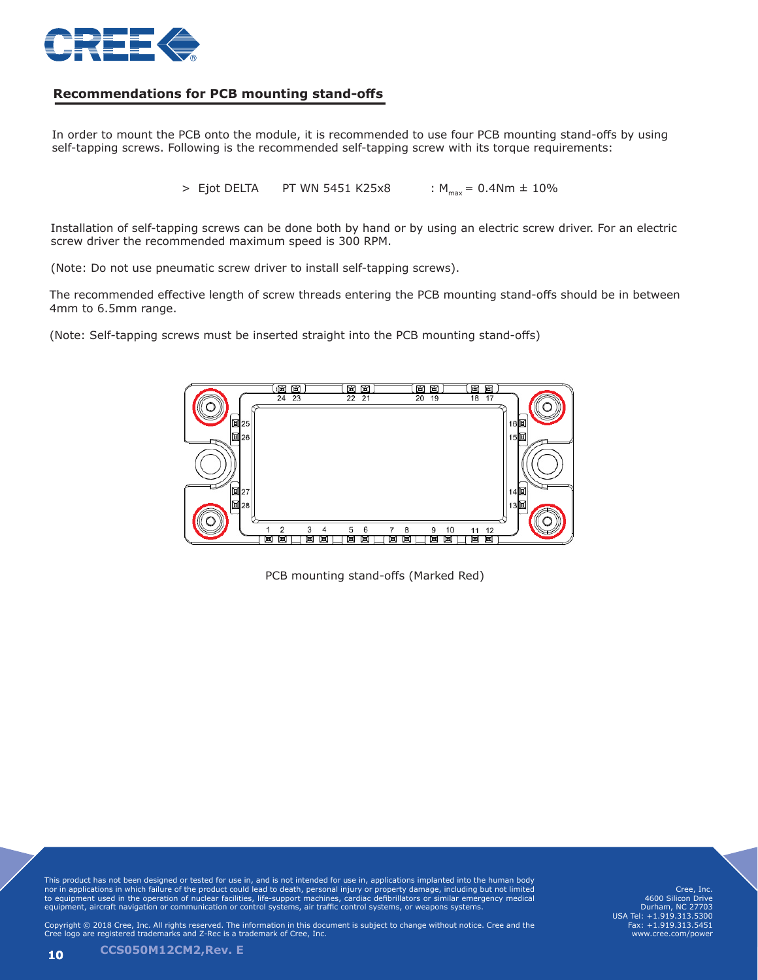

#### **Recommendations for PCB mounting stand-offs**

In order to mount the PCB onto the module, it is recommended to use four PCB mounting stand-offs by using self-tapping screws. Following is the recommended self-tapping screw with its torque requirements:

> Ejot DELTA PT WN 5451 K25x8 : M<sub>max</sub> = 0.4Nm ± 10%

Installation of self-tapping screws can be done both by hand or by using an electric screw driver. For an electric screw driver the recommended maximum speed is 300 RPM.

(Note: Do not use pneumatic screw driver to install self-tapping screws).

The recommended effective length of screw threads entering the PCB mounting stand-offs should be in between 4mm to 6.5mm range.

(Note: Self-tapping screws must be inserted straight into the PCB mounting stand-offs)



PCB mounting stand-offs (Marked Red)

This product has not been designed or tested for use in, and is not intended for use in, applications implanted into the human body<br>nor in applications in which failure of the product could lead to death, personal injury o equipment, aircraft navigation or communication or control systems, air traffic control systems, or weapons systems.

Cree, Inc. 4600 Silicon Drive Durham, NC 27703 USA Tel: +1.919.313.5300 Fax: +1.919.313.5451 www.cree.com/powe

Copyright © 2018 Cree, Inc. All rights reserved. The information in this document is subject to change without notice. Cree and the Cree logo are registered trademarks and Z-Rec is a trademark of Cree, Inc.